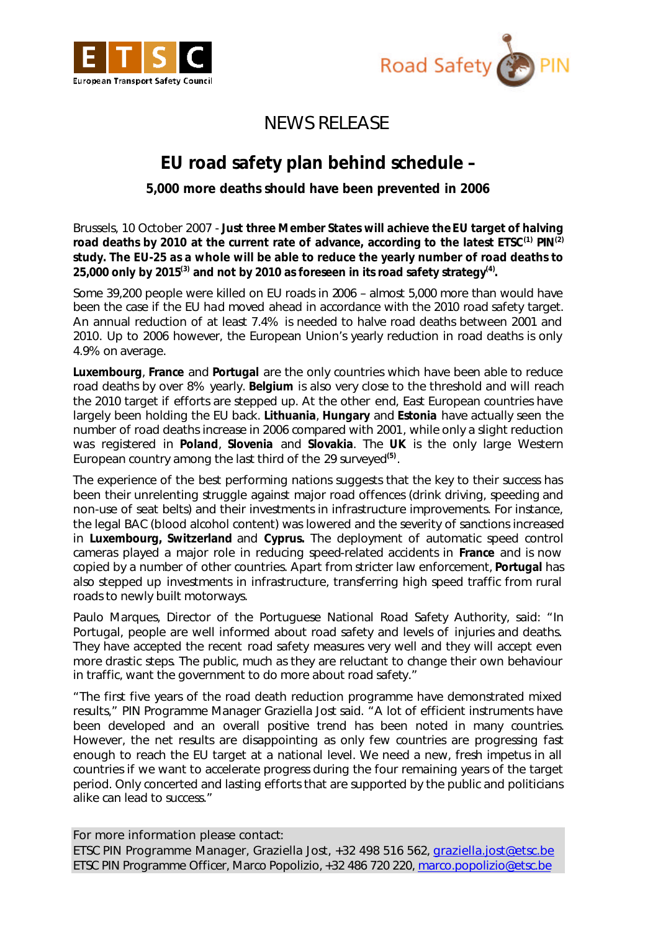



## NEWS RELEASE

## **EU road safety plan behind schedule –**

*5,000 more deaths should have been prevented in 2006*

*Brussels, 10 October 2007 -* **Just three Member States will achieve the EU target of halving road deaths by 2010 at the current rate of advance, according to the latest ETSC(1) PIN(2) study. The EU-25 as a whole will be able to reduce the yearly number of road deaths to**  25,000 only by 2015<sup>(3)</sup> and not by 2010 as foreseen in its road safety strategy<sup>(4)</sup>.

Some 39,200 people were killed on EU roads in 2006 – almost 5,000 more than would have been the case if the EU had moved ahead in accordance with the 2010 road safety target. An annual reduction of at least 7.4% is needed to halve road deaths between 2001 and 2010. Up to 2006 however, the European Union's yearly reduction in road deaths is only 4.9% on average.

**Luxembourg**, **France** and **Portugal** are the only countries which have been able to reduce road deaths by over 8% yearly. **Belgium** is also very close to the threshold and will reach the 2010 target if efforts are stepped up. At the other end, East European countries have largely been holding the EU back. **Lithuania**, **Hungary** and **Estonia** have actually seen the number of road deaths increase in 2006 compared with 2001, while only a slight reduction was registered in **Poland**, **Slovenia** and **Slovakia**. The **UK** is the only large Western European country among the last third of the 29 surveyed**(5)** .

The experience of the best performing nations suggests that the key to their success has been their unrelenting struggle against major road offences (drink driving, speeding and non-use of seat belts) and their investments in infrastructure improvements. For instance, the legal BAC (blood alcohol content) was lowered and the severity of sanctions increased in **Luxembourg, Switzerland** and **Cyprus.** The deployment of automatic speed control cameras played a major role in reducing speed-related accidents in **France** and is now copied by a number of other countries. Apart from stricter law enforcement, **Portugal** has also stepped up investments in infrastructure, transferring high speed traffic from rural roads to newly built motorways.

Paulo Marques, Director of the Portuguese National Road Safety Authority, said: *"In Portugal, people are well informed about road safety and levels of injuries and deaths. They have accepted the recent road safety measures very well and they will accept even more drastic steps. The public, much as they are reluctant to change their own behaviour in traffic, want the government to do more about road safety."*

*"The first five years of the road death reduction programme have demonstrated mixed results,"* PIN Programme Manager Graziella Jost said. *"A lot of efficient instruments have been developed and an overall positive trend has been noted in many countries. However, the net results are disappointing as only few countries are progressing fast* enough to reach the EU target at a national level. We need a new, fresh impetus in all *countries if we want to accelerate progress during the four remaining years of the target period. Only concerted and lasting efforts that are supported by the public and politicians alike can lead to success."*

For more information please contact: ETSC PIN Programme Manager, Graziella Jost, +32 498 516 562, graziella.jost@etsc.be ETSC PIN Programme Officer, Marco Popolizio, +32 486 720 220, marco.popolizio@etsc.be